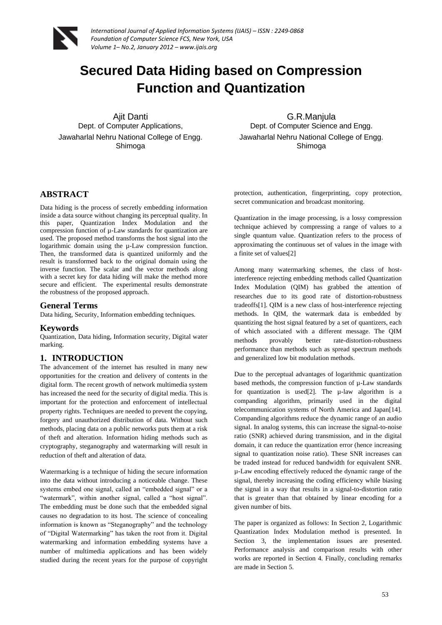

# **Secured Data Hiding based on Compression Function and Quantization**

Ajit Danti Dept. of Computer Applications, Jawaharlal Nehru National College of Engg. Shimoga

G.R.Manjula Dept. of Computer Science and Engg. Jawaharlal Nehru National College of Engg. Shimoga

## **ABSTRACT**

Data hiding is the process of secretly embedding information inside a data source without changing its perceptual quality. In this paper, Quantization Index Modulation and the compression function of µ-Law standards for quantization are used. The proposed method transforms the host signal into the logarithmic domain using the µ-Law compression function. Then, the transformed data is quantized uniformly and the result is transformed back to the original domain using the inverse function. The scalar and the vector methods along with a secret key for data hiding will make the method more secure and efficient. The experimental results demonstrate the robustness of the proposed approach.

## **General Terms**

Data hiding, Security, Information embedding techniques.

#### **Keywords**

Quantization, Data hiding, Information security, Digital water marking.

## **1. INTRODUCTION**

The advancement of the internet has resulted in many new opportunities for the creation and delivery of contents in the digital form. The recent growth of network multimedia system has increased the need for the security of digital media. This is important for the protection and enforcement of intellectual property rights. Techniques are needed to prevent the copying, forgery and unauthorized distribution of data. Without such methods, placing data on a public networks puts them at a risk of theft and alteration. Information hiding methods such as cryptography, steganography and watermarking will result in reduction of theft and alteration of data.

Watermarking is a technique of hiding the secure information into the data without introducing a noticeable change. These systems embed one signal, called an "embedded signal" or a "watermark", within another signal, called a "host signal". The embedding must be done such that the embedded signal causes no degradation to its host. The science of concealing information is known as "Steganography" and the technology of "Digital Watermarking" has taken the root from it. Digital watermarking and information embedding systems have a number of multimedia applications and has been widely studied during the recent years for the purpose of copyright

protection, authentication, fingerprinting, copy protection, secret communication and broadcast monitoring.

Quantization in the image processing, is a lossy compression technique achieved by compressing a range of values to a single quantum value. Quantization refers to the process of approximating the continuous set of values in the image with a finite set of values[2]

Among many watermarking schemes, the class of hostinterference rejecting embedding methods called Quantization Index Modulation (QIM) has grabbed the attention of researches due to its good rate of distortion-robustness tradeoffs[1]. QIM is a new class of host-interference rejecting methods. In QIM, the watermark data is embedded by quantizing the host signal featured by a set of quantizers, each of which associated with a different message. The QIM methods provably better rate-distortion-robustness performance than methods such as spread spectrum methods and generalized low bit modulation methods.

Due to the perceptual advantages of logarithmic quantization based methods, the compression function of µ-Law standards for quantization is used[2]. The  $\mu$ -law algorithm is a companding algorithm, primarily used in the digital telecommunication systems of North America and Japan[14]. Companding algorithms reduce the dynamic range of an audio signal. In analog systems, this can increase the signal-to-noise ratio (SNR) achieved during transmission, and in the digital domain, it can reduce the quantization error (hence increasing signal to quantization noise ratio). These SNR increases can be traded instead for reduced bandwidth for equivalent SNR. µ-Law encoding effectively reduced the dynamic range of the signal, thereby increasing the coding efficiency while biasing the signal in a way that results in a signal-to-distortion ratio that is greater than that obtained by linear encoding for a given number of bits.

The paper is organized as follows: In Section 2, Logarithmic Quantization Index Modulation method is presented. In Section 3, the implementation issues are presented. Performance analysis and comparison results with other works are reported in Section 4. Finally, concluding remarks are made in Section 5.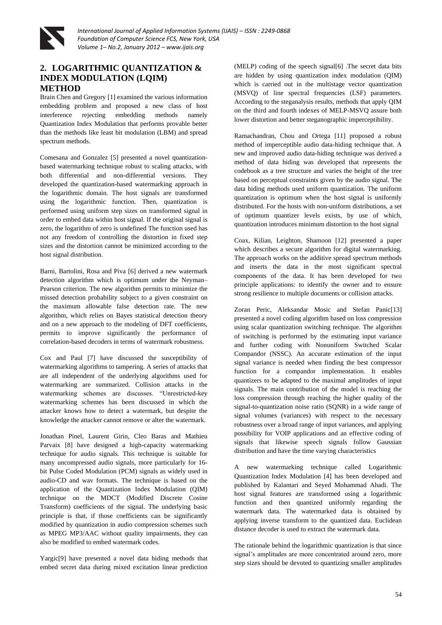

## **2. LOGARITHMIC QUANTIZATION & INDEX MODULATION (LQIM) METHOD**

Brain Chen and Gregory [1] examined the various information embedding problem and proposed a new class of host interference rejecting embedding methods namely Quantization Index Modulation that performs provable better than the methods like least bit modulation (LBM) and spread spectrum methods.

Comesana and Gonzalez [5] presented a novel quantizationbased watermarking technique robust to scaling attacks, with both differential and non-differential versions. They developed the quantization-based watermarking approach in the logarithmic domain. The host signals are transformed using the logarithmic function. Then, quantization is performed using uniform step sizes on transformed signal in order to embed data within host signal. If the original signal is zero, the logarithm of zero is undefined The function used has not any freedom of controlling the distortion in fixed step sizes and the distortion cannot be minimized according to the host signal distribution.

Barni, Bartolini, Rosa and Piva [6] derived a new watermark detection algorithm which is optimum under the Neyman– Pearson criterion. The new algorithm permits to minimize the missed detection probability subject to a given constraint on the maximum allowable false detection rate. The new algorithm, which relies on Bayes statistical detection theory and on a new approach to the modeling of DFT coefficients, permits to improve significantly the performance of correlation-based decoders in terms of watermark robustness.

Cox and Paul [7] have discussed the susceptibility of watermarking algorithms to tampering. A series of attacks that are all independent of the underlying algorithms used for watermarking are summarized. Collision attacks in the watermarking schemes are discusses. "Unrestricted-key watermarking schemes has been discussed in which the attacker knows how to detect a watermark, but despite the knowledge the attacker cannot remove or alter the watermark.

Jonathan Pinel, Laurent Girin, Cleo Baras and Mathieu Parvaix [8] have designed a high-capacity watermarking technique for audio signals. This technique is suitable for many uncompressed audio signals, more particularly for 16 bit Pulse Coded Modulation (PCM) signals as widely used in audio-CD and wav formats. The technique is based on the application of the Quantization Index Modulation (QIM) technique on the MDCT (Modified Discrete Cosine Transform) coefficients of the signal. The underlying basic principle is that, if those coefficients can be significantly modified by quantization in audio compression schemes such as MPEG MP3/AAC without quality impairments, they can also be modified to embed watermark codes.

Yargic[9] have presented a novel data hiding methods that embed secret data during mixed excitation linear prediction (MELP) coding of the speech signal[6] .The secret data bits are hidden by using quantization index modulation (QIM) which is carried out in the multistage vector quantization (MSVQ) of line spectral frequencies (LSF) parameters. According to the steganalysis results, methods that apply QIM on the third and fourth indexes of MELP-MSVQ assure both lower distortion and better steganographic imperceptibility.

Ramachandran, Chou and Ortega [11] proposed a robust method of imperceptible audio data-hiding technique that. A new and improved audio data-hiding technique was derived a method of data hiding was developed that represents the codebook as a tree structure and varies the height of the tree based on perceptual constraints given by the audio signal. The data hiding methods used uniform quantization. The uniform quantization is optimum when the host signal is uniformly distributed. For the hosts with non-uniform distributions, a set of optimum quantizer levels exists, by use of which, quantization introduces minimum distortion to the host signal

Coax, Kilian, Leighton, Shamoon [12] presented a paper which describes a secure algorithm for digital watermarking. The approach works on the additive spread spectrum methods and inserts the data in the most significant spectral components of the data. It has been developed for two principle applications: to identify the owner and to ensure strong resilience to multiple documents or collision attacks.

Zoran Peric, Aleksandar Mosic and Stefan Panic[13] presented a novel coding algorithm based on loss compression using scalar quantization switching technique. The algorithm of switching is performed by the estimating input variance and further coding with Nonuniform Switched Scalar Compandor (NSSC). An accurate estimation of the input signal variance is needed when finding the best compressor function for a compandor implementation. It enables quantizers to be adapted to the maximal amplitudes of input signals. The main contribution of the model is reaching the loss compression through reaching the higher quality of the signal-to-quantization noise ratio (SQNR) in a wide range of signal volumes (variances) with respect to the necessary robustness over a broad range of input variances, and applying possibility for VOIP applications and an effective coding of signals that likewise speech signals follow Gaussian distribution and have the time varying characteristics

A new watermarking technique called Logarithmic Quantization Index Modulation [4] has been developed and published by Kalantari and Seyed Mohammad Ahadi. The host signal features are transformed using a logarithmic function and then quantized uniformly regarding the watermark data. The watermarked data is obtained by applying inverse transform to the quantized data. Euclidean distance decoder is used to extract the watermark data.

The rationale behind the logarithmic quantization is that since signal's amplitudes are more concentrated around zero, more step sizes should be devoted to quantizing smaller amplitudes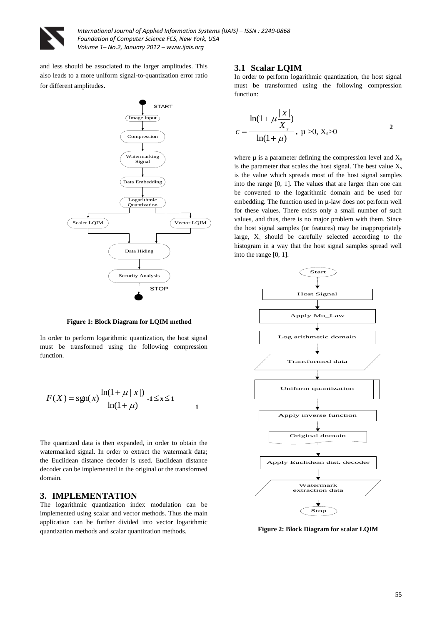

and less should be associated to the larger amplitudes. This also leads to a more uniform signal-to-quantization error ratio for different amplitudes.



**Figure 1: Block Diagram for LQIM method**

In order to perform logarithmic quantization, the host signal must be transformed using the following compression function.

$$
F(X) = sgn(x) \frac{\ln(1 + \mu | x|)}{\ln(1 + \mu)} -1 \le x \le 1
$$

 **1**

The quantized data is then expanded, in order to obtain the watermarked signal. In order to extract the watermark data; the Euclidean distance decoder is used. Euclidean distance decoder can be implemented in the original or the transformed domain.

#### **3. IMPLEMENTATION**

The logarithmic quantization index modulation can be implemented using scalar and vector methods. Thus the main application can be further divided into vector logarithmic quantization methods and scalar quantization methods.

#### **3.1 Scalar LQIM**

In order to perform logarithmic quantization, the host signal must be transformed using the following compression function:

$$
c = \frac{\ln(1 + \mu \frac{|x|}{X_s})}{\ln(1 + \mu)}, \ \mu > 0, \ X_s > 0
$$

where  $\mu$  is a parameter defining the compression level and  $X_s$ is the parameter that scales the host signal. The best value  $X_s$ is the value which spreads most of the host signal samples into the range [0, 1]. The values that are larger than one can be converted to the logarithmic domain and be used for embedding. The function used in µ-law does not perform well for these values. There exists only a small number of such values, and thus, there is no major problem with them. Since the host signal samples (or features) may be inappropriately large,  $X_s$  should be carefully selected according to the histogram in a way that the host signal samples spread well into the range [0, 1].



**Figure 2: Block Diagram for scalar LQIM**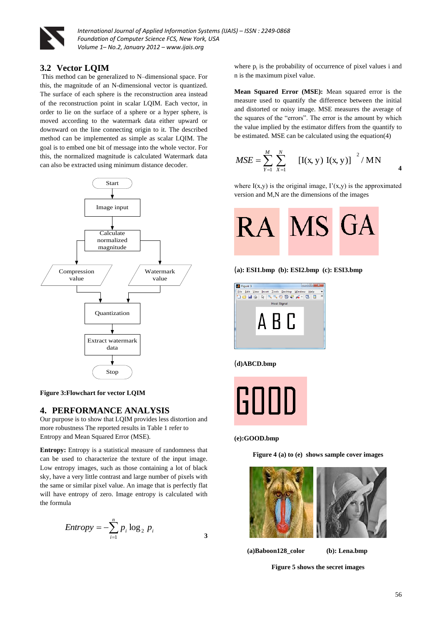

## **3.2 Vector LQIM**

This method can be generalized to N–dimensional space. For this, the magnitude of an N-dimensional vector is quantized. The surface of each sphere is the reconstruction area instead of the reconstruction point in scalar LQIM. Each vector, in order to lie on the surface of a sphere or a hyper sphere, is moved according to the watermark data either upward or downward on the line connecting origin to it. The described method can be implemented as simple as scalar LQIM. The goal is to embed one bit of message into the whole vector. For this, the normalized magnitude is calculated Watermark data can also be extracted using minimum distance decoder.



**Figure 3:Flowchart for vector LQIM**

#### **4. PERFORMANCE ANALYSIS**

Our purpose is to show that LQIM provides less distortion and more robustness The reported results in Table 1 refer to Entropy and Mean Squared Error (MSE).

**Entropy:** Entropy is a statistical measure of randomness that can be used to characterize the texture of the input image. Low entropy images, such as those containing a lot of black sky, have a very little contrast and large number of pixels with the same or similar pixel value. An image that is perfectly flat will have entropy of zero. Image entropy is calculated with the formula

$$
Entropy = -\sum_{i=1}^{n} p_i \log_2 p_i
$$

where  $p_i$  is the probability of occurrence of pixel values i and n is the maximum pixel value.

**Mean Squared Error (MSE):** Mean squared error is the measure used to quantify the difference between the initial and distorted or noisy image. MSE measures the average of the squares of the "errors". The error is the amount by which the value implied by the estimator differs from the quantify to be estimated. MSE can be calculated using the equation(4)

$$
MSE = \sum_{Y=1}^{M} \sum_{X=1}^{N} \left[ I(x, y) I(x, y) \right]^{2} / MN
$$

where  $I(x,y)$  is the original image,  $I'(x,y)$  is the approximated version and M,N are the dimensions of the images



(**a): ESI1.bmp (b): ESI2.bmp (c): ESI3.bmp**



#### (**d)ABCD.bmp**



#### **(e):GOOD.bmp**

**Figure 4 (a) to (e) shows sample cover images**



**(a)Baboon128\_color (b): Lena.bmp**

**Figure 5 shows the secret images**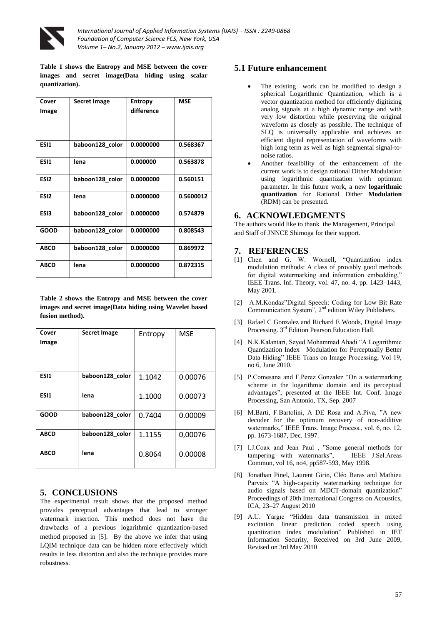

**Table 1 shows the Entropy and MSE between the cover images and secret image(Data hiding using scalar quantization).**

| Cover<br>Image   | <b>Secret Image</b> | <b>Entropy</b><br>difference | <b>MSE</b> |
|------------------|---------------------|------------------------------|------------|
| ES <sub>1</sub>  | baboon128 color     | 0.0000000                    | 0.568367   |
| ESI1             | lena                | 0.000000                     | 0.563878   |
| ESI <sub>2</sub> | baboon128 color     | 0.0000000                    | 0.560151   |
| ESI <sub>2</sub> | lena                | 0.0000000                    | 0.5600012  |
| ES <sub>13</sub> | baboon128 color     | 0.0000000                    | 0.574879   |
| <b>GOOD</b>      | baboon128 color     | 0.0000000                    | 0.808543   |
| <b>ABCD</b>      | baboon128_color     | 0.0000000                    | 0.869972   |
| <b>ABCD</b>      | lena                | 0.0000000                    | 0.872315   |

**Table 2 shows the Entropy and MSE between the cover images and secret image(Data hiding using Wavelet based fusion method).**

| Cover<br>Image | <b>Secret Image</b> | Entropy | <b>MSE</b> |
|----------------|---------------------|---------|------------|
| ESI1           | baboon128 color     | 1.1042  | 0.00076    |
| ESI1           | lena                | 1.1000  | 0.00073    |
| <b>GOOD</b>    | baboon128 color     | 0.7404  | 0.00009    |
| <b>ABCD</b>    | baboon128 color     | 1.1155  | 0,00076    |
| <b>ABCD</b>    | lena                | 0.8064  | 0.00008    |

## **5. CONCLUSIONS**

The experimental result shows that the proposed method provides perceptual advantages that lead to stronger watermark insertion. This method does not have the drawbacks of a previous logarithmic quantization-based method proposed in [5]. By the above we infer that using LQIM technique data can be hidden more effectively which results in less distortion and also the technique provides more robustness.

## **5.1 Future enhancement**

- The existing work can be modified to design a spherical Logarithmic Quantization, which is a vector quantization method for efficiently digitizing analog signals at a high dynamic range and with very low distortion while preserving the original waveform as closely as possible. The technique of SLQ is universally applicable and achieves an efficient digital representation of waveforms with high long term as well as high segmental signal-tonoise ratios.
- Another feasibility of the enhancement of the current work is to design rational Dither Modulation using logarithmic quantization with optimum parameter. In this future work, a new **logarithmic quantization** for Rational Dither **Modulation** (RDM) can be presented.

### **6. ACKNOWLEDGMENTS**

The authors would like to thank the Management, Principal and Staff of JNNCE Shimoga for their support.

#### **7. REFERENCES**

- [1] Chen and G. W. Wornell, "Quantization index modulation methods: A class of provably good methods for digital watermarking and information embedding,' IEEE Trans. Inf. Theory, vol. 47, no. 4, pp. 1423–1443, May 2001.
- [2] A.M.Kondaz"Digital Speech: Coding for Low Bit Rate Communication System",  $2<sup>nd</sup>$  edition Wiley Publishers.
- [3] Rafael C Gonzalez and Richard E Woods, Digital Image Processing. 3<sup>rd</sup> Edition Pearson Education Hall.
- [4] N.K.Kalantari, Seyed Mohammad Ahadi "A Logarithmic Quantization Index Modulation for Perceptually Better Data Hiding" IEEE Trans on Image Processing, Vol 19, no 6, June 2010.
- [5] P.Comesana and F.Perez Gonzalez "On a watermarking scheme in the logarithmic domain and its perceptual advantages", presented at the IEEE Int. Conf. Image Processing, San Antonio, TX, Sep. 2007
- [6] M.Barti, F.Bartolini, A DE Rosa and A.Piva, "A new decoder for the optimum recovery of non-additive watermarks," IEEE Trans. Image Process., vol. 6, no. 12, pp. 1673-1687, Dec. 1997.
- [7] I.J.Coax and Jean Paul , "Some general methods for tampering with watermarks", IEEE J.Sel.Areas Commun, vol 16, no4, pp587-593, May 1998.
- [8] Jonathan Pinel, Laurent Girin, Cléo Baras and Mathieu Parvaix "A high-capacity watermarking technique for audio signals based on MDCT-domain quantization" Proceedings of 20th International Congress on Acoustics, ICA, 23–27 August 2010
- [9] A.U. Yargıc "Hidden data transmission in mixed excitation linear prediction coded speech using quantization index modulation" Published in IET Information Security, Received on 3rd June 2009, Revised on 3rd May 2010